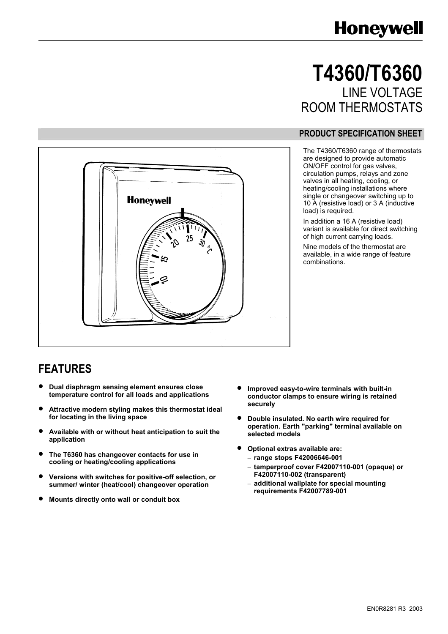# **Honeywell**

# **T4360/T6360**  LINE VOLTAGE ROOM THERMOSTATS

#### **PRODUCT SPECIFICATION SHEET**

The T4360/T6360 range of thermostats are designed to provide automatic ON/OFF control for gas valves, circulation pumps, relays and zone valves in all heating, cooling, or heating/cooling installations where single or changeover switching up to 10 A (resistive load) or 3 A (inductive load) is required.

In addition a 16 A (resistive load) variant is available for direct switching of high current carrying loads.

Nine models of the thermostat are available, in a wide range of feature combinations.



### **FEATURES**

- **Dual diaphragm sensing element ensures close temperature control for all loads and applications**
- **Attractive modern styling makes this thermostat ideal for locating in the living space**
- **Available with or without heat anticipation to suit the application**
- **The T6360 has changeover contacts for use in cooling or heating/cooling applications**
- **Versions with switches for positive-off selection, or summer/ winter (heat/cool) changeover operation**
- **Mounts directly onto wall or conduit box**
- **Improved easy-to-wire terminals with built-in conductor clamps to ensure wiring is retained securely**
- **Double insulated. No earth wire required for operation. Earth "parking" terminal available on selected models**
- **Optional extras available are:** 
	- **range stops F42006646-001**
	- **tamperproof cover F42007110-001 (opaque) or F42007110-002 (transparent)**
	- **additional wallplate for special mounting requirements F42007789-001**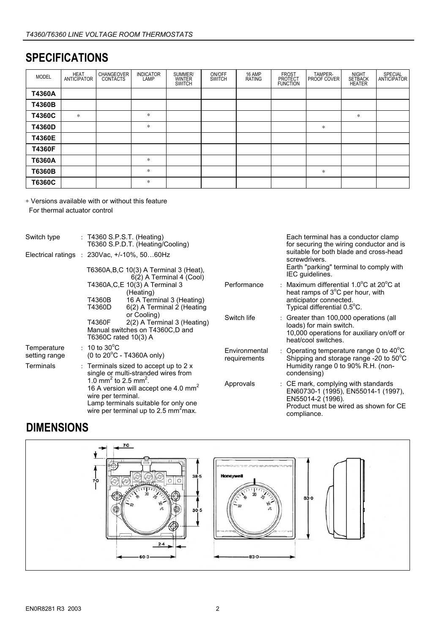# **SPECIFICATIONS**

| <b>MODEL</b> | <b>HEAT</b><br><b>ANTICIPATOR</b> | CHANGEOVER<br><b>CONTACTS</b> | <b>INDICATOR</b><br>LAMP | SUMMER/<br><b>WINTER</b><br><b>SWITCH</b> | ON/OFF<br>SWITCH | 16 AMP<br><b>RATING</b> | <b>FROST</b><br><b>PROTECT</b><br><b>FUNCTION</b> | TAMPER-<br><b>PROOF COVER</b> | <b>NIGHT</b><br><b>SETBACK</b><br><b>HEATER</b> | <b>SPECIAL</b><br>ANTICIPATOR |
|--------------|-----------------------------------|-------------------------------|--------------------------|-------------------------------------------|------------------|-------------------------|---------------------------------------------------|-------------------------------|-------------------------------------------------|-------------------------------|
| T4360A       |                                   |                               |                          |                                           |                  |                         |                                                   |                               |                                                 |                               |
| T4360B       |                                   |                               |                          |                                           |                  |                         |                                                   |                               |                                                 |                               |
| T4360C       | $\ast$                            |                               | *                        |                                           |                  |                         |                                                   |                               | *                                               |                               |
| T4360D       |                                   |                               | *                        |                                           |                  |                         |                                                   | *                             |                                                 |                               |
| T4360E       |                                   |                               |                          |                                           |                  |                         |                                                   |                               |                                                 |                               |
| T4360F       |                                   |                               |                          |                                           |                  |                         |                                                   |                               |                                                 |                               |
| T6360A       |                                   |                               | *                        |                                           |                  |                         |                                                   |                               |                                                 |                               |
| T6360B       |                                   |                               | *                        |                                           |                  |                         |                                                   | *                             |                                                 |                               |
| T6360C       |                                   |                               | *                        |                                           |                  |                         |                                                   |                               |                                                 |                               |

<sup>∗</sup> Versions available with or without this feature For thermal actuator control

| Switch type<br>$: T4360$ S.P.S.T. (Heating)<br>T6360 S.P.D.T. (Heating/Cooling) |  |                                                                                                                                                                                                                    |                                                                                                       |                               | Each terminal has a conductor clamp<br>for securing the wiring conductor and is |                                                                                                                                                         |  |
|---------------------------------------------------------------------------------|--|--------------------------------------------------------------------------------------------------------------------------------------------------------------------------------------------------------------------|-------------------------------------------------------------------------------------------------------|-------------------------------|---------------------------------------------------------------------------------|---------------------------------------------------------------------------------------------------------------------------------------------------------|--|
| Electrical ratings : $230\text{Vac}, +/-10\%$ , $5060\text{Hz}$                 |  |                                                                                                                                                                                                                    |                                                                                                       |                               |                                                                                 | suitable for both blade and cross-head<br>screwdrivers.                                                                                                 |  |
|                                                                                 |  |                                                                                                                                                                                                                    | T6360A, B, C 10(3) A Terminal 3 (Heat),<br>6(2) A Terminal 4 (Cool)                                   |                               |                                                                                 | Earth "parking" terminal to comply with<br>IEC guidelines.                                                                                              |  |
|                                                                                 |  |                                                                                                                                                                                                                    | T4360A, C, E 10(3) A Terminal 3<br>(Heating)                                                          | Performance                   |                                                                                 | : Maximum differential 1.0 $\mathrm{^{\circ}C}$ at 20 $\mathrm{^{\circ}C}$ at<br>heat ramps of 3 <sup>o</sup> C per hour, with                          |  |
|                                                                                 |  | T4360B<br>T4360D                                                                                                                                                                                                   | 16 A Terminal 3 (Heating)<br>6(2) A Terminal 2 (Heating                                               |                               |                                                                                 | anticipator connected.<br>Typical differential 0.5°C.                                                                                                   |  |
|                                                                                 |  | T4360F                                                                                                                                                                                                             | or Cooling)<br>2(2) A Terminal 3 (Heating)<br>Manual switches on T4360C,D and<br>T6360C rated 10(3) A | Switch life                   |                                                                                 | : Greater than 100,000 operations (all<br>loads) for main switch.<br>10,000 operations for auxiliary on/off or<br>heat/cool switches.                   |  |
| Temperature<br>setting range                                                    |  | $\pm$ 10 to 30 <sup>o</sup> C                                                                                                                                                                                      | $(0 to 20^{\circ}$ C - T4360A only)                                                                   | Environmental<br>requirements |                                                                                 | : Operating temperature range 0 to $40^{\circ}$ C<br>Shipping and storage range -20 to $50^{\circ}$ C                                                   |  |
| Terminals                                                                       |  |                                                                                                                                                                                                                    | : Terminals sized to accept up to $2 \times$<br>single or multi-stranded wires from                   |                               |                                                                                 | Humidity range 0 to 90% R.H. (non-<br>condensing)                                                                                                       |  |
|                                                                                 |  | 1.0 mm <sup>2</sup> to 2.5 mm <sup>2</sup> .<br>16 A version will accept one 4.0 mm <sup>2</sup><br>wire per terminal.<br>Lamp terminals suitable for only one<br>wire per terminal up to 2.5 mm <sup>2</sup> max. |                                                                                                       | Approvals                     |                                                                                 | : CE mark, complying with standards<br>EN60730-1 (1995), EN55014-1 (1997),<br>EN55014-2 (1996).<br>Product must be wired as shown for CE<br>compliance. |  |

# **DIMENSIONS**

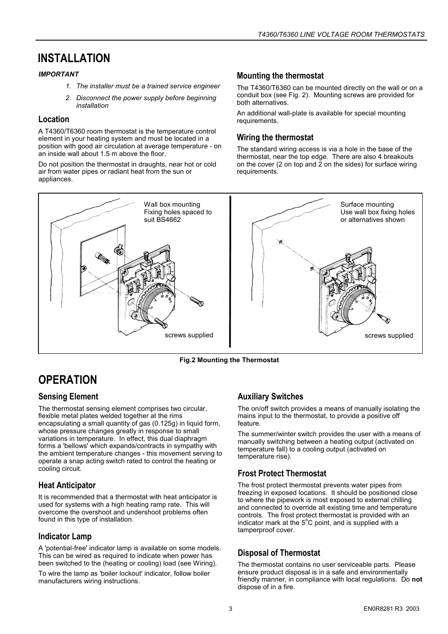# **INSTALLATION**

#### *IMPORTANT*

- *1. The installer must be a trained service engineer*
- *2. Disconnect the power supply before beginning installation*

#### **Location**

A T4360/T6360 room thermostat is the temperature control element in your heating system and must be located in a position with good air circulation at average temperature - on an inside wall about 1.5 m above the floor.

Do not position the thermostat in draughts, near hot or cold air from water pipes or radiant heat from the sun or appliances.

#### **Mounting the thermostat**

The T4360/T6360 can be mounted directly on the wall or on a conduit box (see Fig. 2). Mounting screws are provided for both alternatives.

An additional wall-plate is available for special mounting requirements.

#### **Wiring the thermostat**

The standard wiring access is via a hole in the base of the thermostat, near the top edge. There are also 4 breakouts on the cover (2 on top and  $\overline{2}$  on the sides) for surface wiring requirements.



**Fig.2 Mounting the Thermostat**

# **OPERATION**

#### **Sensing Element**

The thermostat sensing element comprises two circular, flexible metal plates welded together at the rims encapsulating a small quantity of gas (0.125g) in liquid form, whose pressure changes greatly in response to small variations in temperature. In effect, this dual diaphragm forms a 'bellows' which expands/contracts in sympathy with the ambient temperature changes - this movement serving to operate a snap acting switch rated to control the heating or cooling circuit.

#### **Heat Anticipator**

It is recommended that a thermostat with heat anticipator is used for systems with a high heating ramp rate. This will overcome the overshoot and undershoot problems often found in this type of installation.

#### **Indicator Lamp**

A 'potential-free' indicator lamp is available on some models. This can be wired as required to indicate when power has been switched to the (heating or cooling) load (see Wiring).

To wire the lamp as 'boiler lockout' indicator, follow boiler manufacturers wiring instructions.

#### **Auxiliary Switches**

The on/off switch provides a means of manually isolating the mains input to the thermostat, to provide a positive off feature.

The summer/winter switch provides the user with a means of manually switching between a heating output (activated on temperature fall) to a cooling output (activated on temperature rise).

#### **Frost Protect Thermostat**

The frost protect thermostat prevents water pipes from freezing in exposed locations. It should be positioned close to where the pipework is most exposed to external chilling and connected to override all existing time and temperature controls. The frost protect thermostat is provided with an indicator mark at the  $5^{\circ}$ C point, and is supplied with a tamperproof cover.

#### **Disposal of Thermostat**

The thermostat contains no user serviceable parts. Please ensure product disposal is in a safe and environmentally friendly manner, in compliance with local regulations. Do **not** dispose of in a fire.